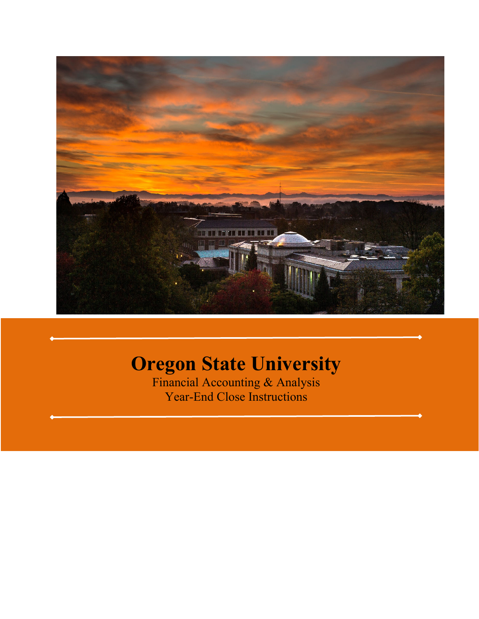

# **Oregon State University**

Financial Accounting & Analysis Year-End Close Instructions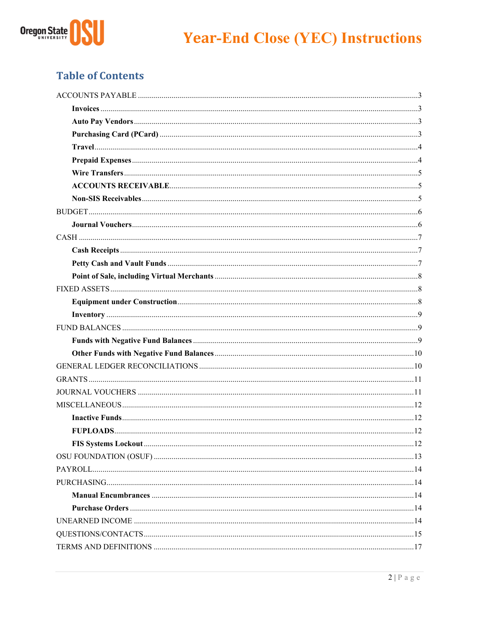

## **Table of Contents**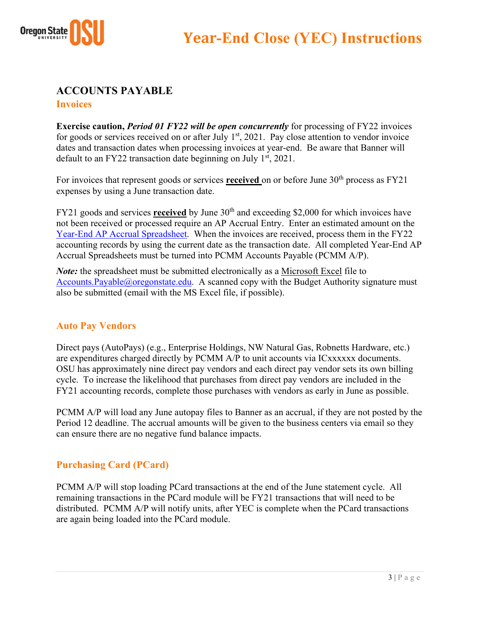

## **ACCOUNTS PAYABLE Invoices**

**Exercise caution,** *Period 01 FY22 will be open concurrently* for processing of FY22 invoices for goods or services received on or after July  $1<sup>st</sup>$ , 2021. Pay close attention to vendor invoice dates and transaction dates when processing invoices at year-end. Be aware that Banner will default to an FY22 transaction date beginning on July  $1<sup>st</sup>$ , 2021.

For invoices that represent goods or services **received** on or before June 30<sup>th</sup> process as FY21 expenses by using a June transaction date.

FY21 goods and services **received** by June 30<sup>th</sup> and exceeding \$2,000 for which invoices have not been received or processed require an AP Accrual Entry. Enter an estimated amount on the Year-End AP Accrual Spreadsheet. When the invoices are received, process them in the FY22 accounting records by using the current date as the transaction date. All completed Year-End AP Accrual Spreadsheets must be turned into PCMM Accounts Payable (PCMM A/P).

*Note:* the spreadsheet must be submitted electronically as a Microsoft Excel file to Accounts.Payable@oregonstate.edu. A scanned copy with the Budget Authority signature must also be submitted (email with the MS Excel file, if possible).

## **Auto Pay Vendors**

Direct pays (AutoPays) (e.g., Enterprise Holdings, NW Natural Gas, Robnetts Hardware, etc.) are expenditures charged directly by PCMM A/P to unit accounts via ICxxxxxx documents. OSU has approximately nine direct pay vendors and each direct pay vendor sets its own billing cycle. To increase the likelihood that purchases from direct pay vendors are included in the FY21 accounting records, complete those purchases with vendors as early in June as possible.

PCMM A/P will load any June autopay files to Banner as an accrual, if they are not posted by the Period 12 deadline. The accrual amounts will be given to the business centers via email so they can ensure there are no negative fund balance impacts.

## **Purchasing Card (PCard)**

PCMM A/P will stop loading PCard transactions at the end of the June statement cycle.All remaining transactions in the PCard module will be FY21 transactions that will need to be distributed. PCMM A/P will notify units, after YEC is complete when the PCard transactions are again being loaded into the PCard module.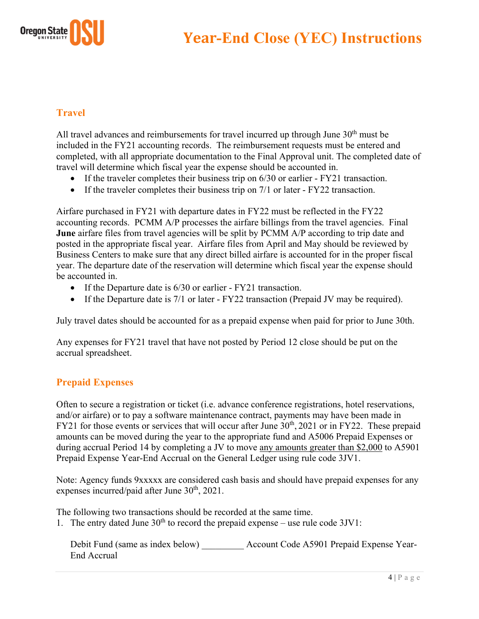



## **Travel**

All travel advances and reimbursements for travel incurred up through June  $30<sup>th</sup>$  must be included in the FY21 accounting records. The reimbursement requests must be entered and completed, with all appropriate documentation to the Final Approval unit. The completed date of travel will determine which fiscal year the expense should be accounted in.

- If the traveler completes their business trip on 6/30 or earlier FY21 transaction.
- If the traveler completes their business trip on  $7/1$  or later FY22 transaction.

Airfare purchased in FY21 with departure dates in FY22 must be reflected in the FY22 accounting records. PCMM A/P processes the airfare billings from the travel agencies. Final **June** airfare files from travel agencies will be split by PCMM A/P according to trip date and posted in the appropriate fiscal year. Airfare files from April and May should be reviewed by Business Centers to make sure that any direct billed airfare is accounted for in the proper fiscal year. The departure date of the reservation will determine which fiscal year the expense should be accounted in.

- If the Departure date is 6/30 or earlier FY21 transaction.
- If the Departure date is 7/1 or later FY22 transaction (Prepaid JV may be required).

July travel dates should be accounted for as a prepaid expense when paid for prior to June 30th.

Any expenses for FY21 travel that have not posted by Period 12 close should be put on the accrual spreadsheet.

## **Prepaid Expenses**

Often to secure a registration or ticket (i.e. advance conference registrations, hotel reservations, and/or airfare) or to pay a software maintenance contract, payments may have been made in FY21 for those events or services that will occur after June  $30<sup>th</sup>$ , 2021 or in FY22. These prepaid amounts can be moved during the year to the appropriate fund and A5006 Prepaid Expenses or during accrual Period 14 by completing a JV to move any amounts greater than \$2,000 to A5901 Prepaid Expense Year-End Accrual on the General Ledger using rule code 3JV1.

Note: Agency funds 9xxxxx are considered cash basis and should have prepaid expenses for any expenses incurred/paid after June  $30<sup>th</sup>$ , 2021.

The following two transactions should be recorded at the same time.

1. The entry dated June  $30<sup>th</sup>$  to record the prepaid expense – use rule code  $3JVI$ :

Debit Fund (same as index below) \_\_\_\_\_\_\_\_\_ Account Code A5901 Prepaid Expense Year-End Accrual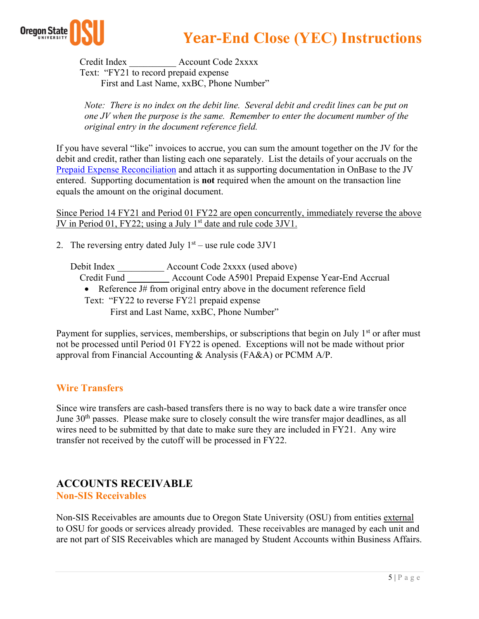

Credit Index **Account Code 2xxxx**  Text: "FY21 to record prepaid expense First and Last Name, xxBC, Phone Number"

*Note: There is no index on the debit line. Several debit and credit lines can be put on one JV when the purpose is the same. Remember to enter the document number of the original entry in the document reference field.* 

If you have several "like" invoices to accrue, you can sum the amount together on the JV for the debit and credit, rather than listing each one separately. List the details of your accruals on the Prepaid Expense Reconciliation and attach it as supporting documentation in OnBase to the JV entered. Supporting documentation is **not** required when the amount on the transaction line equals the amount on the original document.

Since Period 14 FY21 and Period 01 FY22 are open concurrently, immediately reverse the above JV in Period 01, FY22; using a July 1<sup>st</sup> date and rule code 3JV1.

2. The reversing entry dated July  $1<sup>st</sup>$  – use rule code 3JV1

Debit Index \_\_\_\_\_\_\_\_\_\_ Account Code 2xxxx (used above)

Credit Fund \_\_\_\_\_\_\_\_\_ Account Code A5901 Prepaid Expense Year-End Accrual

• Reference J# from original entry above in the document reference field Text: "FY22 to reverse FY21 prepaid expense

First and Last Name, xxBC, Phone Number"

Payment for supplies, services, memberships, or subscriptions that begin on July  $1<sup>st</sup>$  or after must not be processed until Period 01 FY22 is opened. Exceptions will not be made without prior approval from Financial Accounting & Analysis (FA&A) or PCMM A/P.

## **Wire Transfers**

Since wire transfers are cash-based transfers there is no way to back date a wire transfer once June 30<sup>th</sup> passes. Please make sure to closely consult the wire transfer major deadlines, as all wires need to be submitted by that date to make sure they are included in FY21. Any wire transfer not received by the cutoff will be processed in FY22.

#### **ACCOUNTS RECEIVABLE Non-SIS Receivables**

Non-SIS Receivables are amounts due to Oregon State University (OSU) from entities external to OSU for goods or services already provided. These receivables are managed by each unit and are not part of SIS Receivables which are managed by Student Accounts within Business Affairs.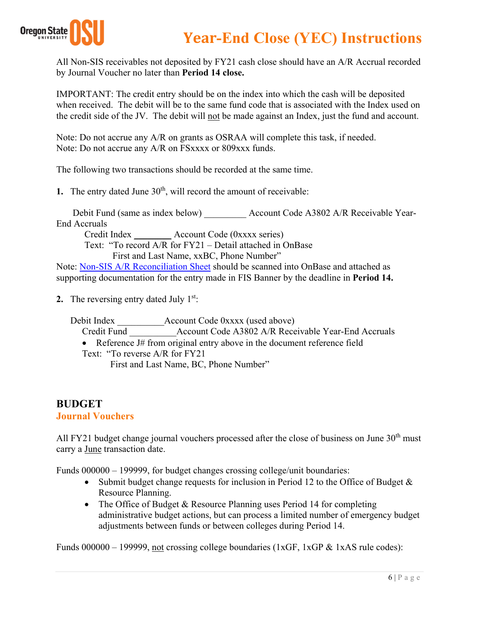

All Non-SIS receivables not deposited by FY21 cash close should have an A/R Accrual recorded by Journal Voucher no later than **Period 14 close.**

IMPORTANT: The credit entry should be on the index into which the cash will be deposited when received. The debit will be to the same fund code that is associated with the Index used on the credit side of the JV. The debit will not be made against an Index, just the fund and account.

Note: Do not accrue any A/R on grants as OSRAA will complete this task, if needed. Note: Do not accrue any A/R on FSxxxx or 809xxx funds.

The following two transactions should be recorded at the same time.

**1.** The entry dated June  $30<sup>th</sup>$ , will record the amount of receivable:

Debit Fund (same as index below) <br>Account Code A3802 A/R Receivable Year-End Accruals

Credit Index \_\_\_\_\_\_\_\_ Account Code (0xxxx series)

 Text: "To record A/R for FY21 – Detail attached in OnBase First and Last Name, xxBC, Phone Number"

Note: Non-SIS A/R Reconciliation Sheet should be scanned into OnBase and attached as supporting documentation for the entry made in FIS Banner by the deadline in **Period 14.** 

**2.** The reversing entry dated July 1<sup>st</sup>:

Debit Index \_\_\_\_\_\_\_\_\_\_Account Code 0xxxx (used above)

Credit Fund Account Code A3802 A/R Receivable Year-End Accruals

• Reference J# from original entry above in the document reference field

Text: "To reverse A/R for FY21 First and Last Name, BC, Phone Number"

## **BUDGET**

#### **Journal Vouchers**

All FY21 budget change journal vouchers processed after the close of business on June  $30<sup>th</sup>$  must carry a June transaction date.

Funds 000000 – 199999, for budget changes crossing college/unit boundaries:

- Submit budget change requests for inclusion in Period 12 to the Office of Budget  $\&$ Resource Planning.
- The Office of Budget & Resource Planning uses Period 14 for completing administrative budget actions, but can process a limited number of emergency budget adjustments between funds or between colleges during Period 14.

Funds 000000 – 199999, not crossing college boundaries (1xGF, 1xGP & 1xAS rule codes):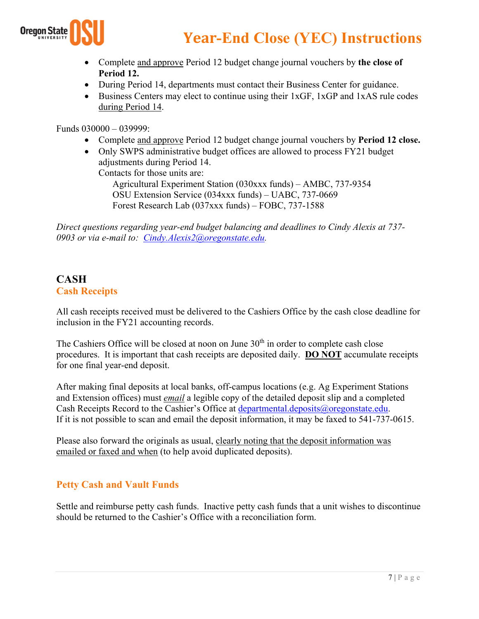

- Complete and approve Period 12 budget change journal vouchers by **the close of Period 12.**
- During Period 14, departments must contact their Business Center for guidance.
- Business Centers may elect to continue using their 1xGF, 1xGP and 1xAS rule codes during Period 14.

Funds 030000 – 039999:

- Complete and approve Period 12 budget change journal vouchers by **Period 12 close.**
- Only SWPS administrative budget offices are allowed to process FY21 budget adjustments during Period 14.

Contacts for those units are:

Agricultural Experiment Station (030xxx funds) – AMBC, 737-9354 OSU Extension Service (034xxx funds) – UABC, 737-0669 Forest Research Lab (037xxx funds) – FOBC, 737-1588

*Direct questions regarding year-end budget balancing and deadlines to Cindy Alexis at 737- 0903 or via e-mail to: Cindy.Alexis2@oregonstate.edu.*

## **CASH Cash Receipts**

All cash receipts received must be delivered to the Cashiers Office by the cash close deadline for inclusion in the FY21 accounting records.

The Cashiers Office will be closed at noon on June  $30<sup>th</sup>$  in order to complete cash close procedures. It is important that cash receipts are deposited daily. **DO NOT** accumulate receipts for one final year-end deposit.

After making final deposits at local banks, off-campus locations (e.g. Ag Experiment Stations and Extension offices) must *email* a legible copy of the detailed deposit slip and a completed Cash Receipts Record to the Cashier's Office at departmental.deposits@oregonstate.edu. If it is not possible to scan and email the deposit information, it may be faxed to 541-737-0615.

Please also forward the originals as usual, clearly noting that the deposit information was emailed or faxed and when (to help avoid duplicated deposits).

## **Petty Cash and Vault Funds**

Settle and reimburse petty cash funds. Inactive petty cash funds that a unit wishes to discontinue should be returned to the Cashier's Office with a reconciliation form.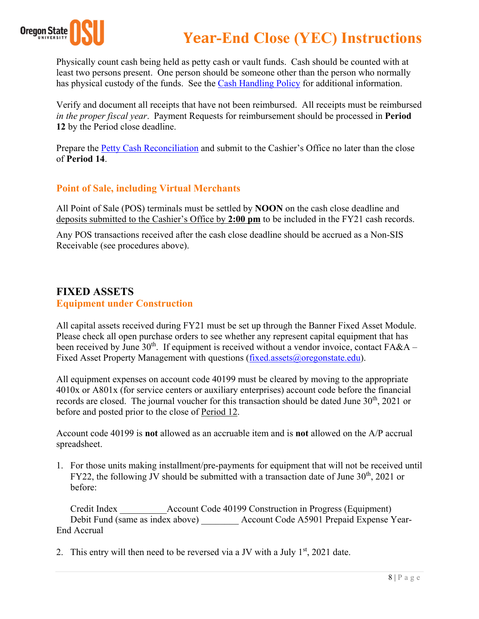

Physically count cash being held as petty cash or vault funds. Cash should be counted with at least two persons present. One person should be someone other than the person who normally has physical custody of the funds. See the Cash Handling Policy for additional information.

Verify and document all receipts that have not been reimbursed. All receipts must be reimbursed *in the proper fiscal year*. Payment Requests for reimbursement should be processed in **Period 12** by the Period close deadline.

Prepare the Petty Cash Reconciliation and submit to the Cashier's Office no later than the close of **Period 14**.

## **Point of Sale, including Virtual Merchants**

All Point of Sale (POS) terminals must be settled by **NOON** on the cash close deadline and deposits submitted to the Cashier's Office by **2:00 pm** to be included in the FY21 cash records.

Any POS transactions received after the cash close deadline should be accrued as a Non-SIS Receivable (see procedures above).

## **FIXED ASSETS Equipment under Construction**

All capital assets received during FY21 must be set up through the Banner Fixed Asset Module. Please check all open purchase orders to see whether any represent capital equipment that has been received by June  $30<sup>th</sup>$ . If equipment is received without a vendor invoice, contact FA&A – Fixed Asset Property Management with questions (fixed.assets@oregonstate.edu).

All equipment expenses on account code 40199 must be cleared by moving to the appropriate 4010x or A801x (for service centers or auxiliary enterprises) account code before the financial records are closed. The journal voucher for this transaction should be dated June 30<sup>th</sup>, 2021 or before and posted prior to the close of Period 12.

Account code 40199 is **not** allowed as an accruable item and is **not** allowed on the A/P accrual spreadsheet.

1. For those units making installment/pre-payments for equipment that will not be received until FY22, the following JV should be submitted with a transaction date of June  $30<sup>th</sup>$ , 2021 or before:

Credit Index Account Code 40199 Construction in Progress (Equipment) Debit Fund (same as index above) <br>Account Code A5901 Prepaid Expense Year-End Accrual

2. This entry will then need to be reversed via a JV with a July  $1<sup>st</sup>$ , 2021 date.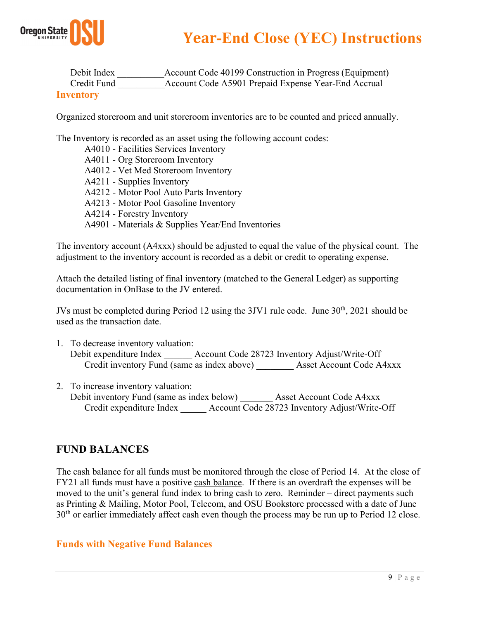

| Debit Index      | Account Code 40199 Construction in Progress (Equipment) |
|------------------|---------------------------------------------------------|
| Credit Fund      | Account Code A5901 Prepaid Expense Year-End Accrual     |
| <b>Inventory</b> |                                                         |

#### Organized storeroom and unit storeroom inventories are to be counted and priced annually.

The Inventory is recorded as an asset using the following account codes:

A4010 - Facilities Services Inventory A4011 - Org Storeroom Inventory A4012 - Vet Med Storeroom Inventory A4211 - Supplies Inventory A4212 - Motor Pool Auto Parts Inventory A4213 - Motor Pool Gasoline Inventory A4214 - Forestry Inventory A4901 - Materials & Supplies Year/End Inventories

The inventory account (A4xxx) should be adjusted to equal the value of the physical count. The adjustment to the inventory account is recorded as a debit or credit to operating expense.

Attach the detailed listing of final inventory (matched to the General Ledger) as supporting documentation in OnBase to the JV entered.

JVs must be completed during Period 12 using the 3JV1 rule code. June 30<sup>th</sup>, 2021 should be used as the transaction date.

- 1. To decrease inventory valuation: Debit expenditure Index \_\_\_\_\_\_ Account Code 28723 Inventory Adjust/Write-Off Credit inventory Fund (same as index above) \_\_\_\_\_\_\_\_ Asset Account Code A4xxx
- 2. To increase inventory valuation:
- Debit inventory Fund (same as index below) Asset Account Code A4xxx Credit expenditure Index \_\_ \_ Account Code 28723 Inventory Adjust/Write-Off

## **FUND BALANCES**

The cash balance for all funds must be monitored through the close of Period 14. At the close of FY21 all funds must have a positive cash balance. If there is an overdraft the expenses will be moved to the unit's general fund index to bring cash to zero. Reminder – direct payments such as Printing & Mailing, Motor Pool, Telecom, and OSU Bookstore processed with a date of June 30<sup>th</sup> or earlier immediately affect cash even though the process may be run up to Period 12 close.

#### **Funds with Negative Fund Balances**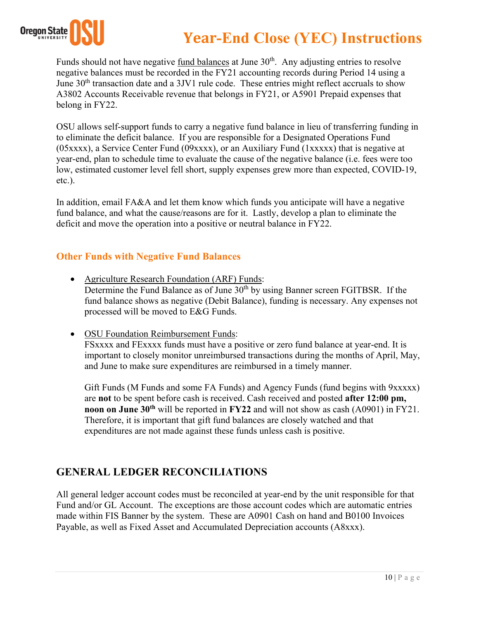

Funds should not have negative fund balances at June 30<sup>th</sup>. Any adjusting entries to resolve negative balances must be recorded in the FY21 accounting records during Period 14 using a June  $30<sup>th</sup>$  transaction date and a 3JV1 rule code. These entries might reflect accruals to show A3802 Accounts Receivable revenue that belongs in FY21, or A5901 Prepaid expenses that belong in FY22.

OSU allows self-support funds to carry a negative fund balance in lieu of transferring funding in to eliminate the deficit balance. If you are responsible for a Designated Operations Fund (05xxxx), a Service Center Fund (09xxxx), or an Auxiliary Fund (1xxxxx) that is negative at year-end, plan to schedule time to evaluate the cause of the negative balance (i.e. fees were too low, estimated customer level fell short, supply expenses grew more than expected, COVID-19, etc.).

In addition, email FA&A and let them know which funds you anticipate will have a negative fund balance, and what the cause/reasons are for it. Lastly, develop a plan to eliminate the deficit and move the operation into a positive or neutral balance in FY22.

## **Other Funds with Negative Fund Balances**

- Agriculture Research Foundation (ARF) Funds: Determine the Fund Balance as of June  $30<sup>th</sup>$  by using Banner screen FGITBSR. If the fund balance shows as negative (Debit Balance), funding is necessary. Any expenses not processed will be moved to E&G Funds.
- OSU Foundation Reimbursement Funds: FSxxxx and FExxxx funds must have a positive or zero fund balance at year-end. It is important to closely monitor unreimbursed transactions during the months of April, May, and June to make sure expenditures are reimbursed in a timely manner.

Gift Funds (M Funds and some FA Funds) and Agency Funds (fund begins with 9xxxxx) are **not** to be spent before cash is received. Cash received and posted **after 12:00 pm, noon on June 30<sup>th</sup>** will be reported in **FY22** and will not show as cash (A0901) in FY21. Therefore, it is important that gift fund balances are closely watched and that expenditures are not made against these funds unless cash is positive.

## **GENERAL LEDGER RECONCILIATIONS**

All general ledger account codes must be reconciled at year-end by the unit responsible for that Fund and/or GL Account. The exceptions are those account codes which are automatic entries made within FIS Banner by the system. These are A0901 Cash on hand and B0100 Invoices Payable, as well as Fixed Asset and Accumulated Depreciation accounts (A8xxx).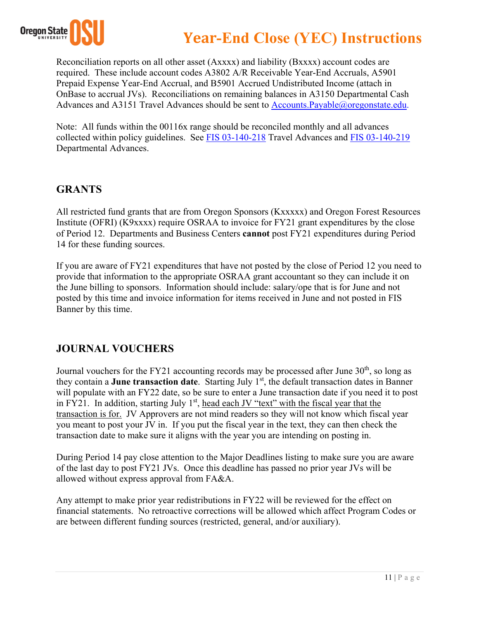

Reconciliation reports on all other asset (Axxxx) and liability (Bxxxx) account codes are required. These include account codes A3802 A/R Receivable Year-End Accruals, A5901 Prepaid Expense Year-End Accrual, and B5901 Accrued Undistributed Income (attach in OnBase to accrual JVs). Reconciliations on remaining balances in A3150 Departmental Cash Advances and A3151 Travel Advances should be sent to Accounts.Payable@oregonstate.edu.

Note: All funds within the 00116x range should be reconciled monthly and all advances collected within policy guidelines. See FIS 03-140-218 Travel Advances and FIS 03-140-219 Departmental Advances.

## **GRANTS**

All restricted fund grants that are from Oregon Sponsors (Kxxxxx) and Oregon Forest Resources Institute (OFRI) (K9xxxx) require OSRAA to invoice for FY21 grant expenditures by the close of Period 12. Departments and Business Centers **cannot** post FY21 expenditures during Period 14 for these funding sources.

If you are aware of FY21 expenditures that have not posted by the close of Period 12 you need to provide that information to the appropriate OSRAA grant accountant so they can include it on the June billing to sponsors. Information should include: salary/ope that is for June and not posted by this time and invoice information for items received in June and not posted in FIS Banner by this time.

## **JOURNAL VOUCHERS**

Journal vouchers for the FY21 accounting records may be processed after June  $30<sup>th</sup>$ , so long as they contain a **June transaction date**. Starting July 1<sup>st</sup>, the default transaction dates in Banner will populate with an FY22 date, so be sure to enter a June transaction date if you need it to post in FY21. In addition, starting July  $1<sup>st</sup>$ , head each JV "text" with the fiscal year that the transaction is for. JV Approvers are not mind readers so they will not know which fiscal year you meant to post your JV in. If you put the fiscal year in the text, they can then check the transaction date to make sure it aligns with the year you are intending on posting in.

During Period 14 pay close attention to the Major Deadlines listing to make sure you are aware of the last day to post FY21 JVs. Once this deadline has passed no prior year JVs will be allowed without express approval from FA&A.

Any attempt to make prior year redistributions in FY22 will be reviewed for the effect on financial statements. No retroactive corrections will be allowed which affect Program Codes or are between different funding sources (restricted, general, and/or auxiliary).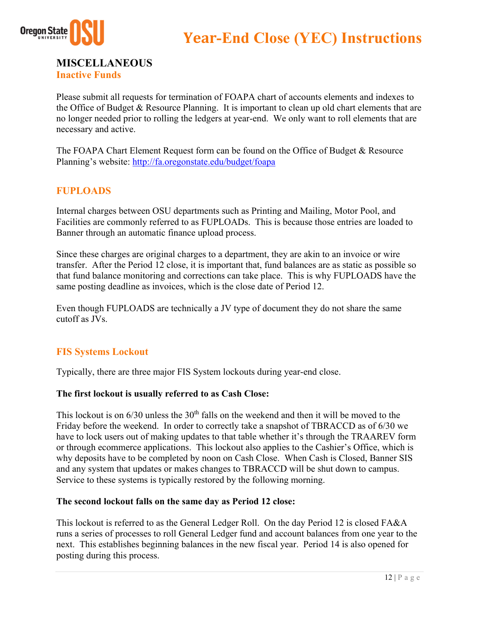



**MISCELLANEOUS**

**Inactive Funds**

Please submit all requests for termination of FOAPA chart of accounts elements and indexes to the Office of Budget & Resource Planning. It is important to clean up old chart elements that are no longer needed prior to rolling the ledgers at year-end. We only want to roll elements that are necessary and active.

The FOAPA Chart Element Request form can be found on the Office of Budget & Resource Planning's website: http://fa.oregonstate.edu/budget/foapa

## **FUPLOADS**

Internal charges between OSU departments such as Printing and Mailing, Motor Pool, and Facilities are commonly referred to as FUPLOADs. This is because those entries are loaded to Banner through an automatic finance upload process.

Since these charges are original charges to a department, they are akin to an invoice or wire transfer. After the Period 12 close, it is important that, fund balances are as static as possible so that fund balance monitoring and corrections can take place. This is why FUPLOADS have the same posting deadline as invoices, which is the close date of Period 12.

Even though FUPLOADS are technically a JV type of document they do not share the same cutoff as JVs.

## **FIS Systems Lockout**

Typically, there are three major FIS System lockouts during year-end close.

#### **The first lockout is usually referred to as Cash Close:**

This lockout is on  $6/30$  unless the  $30<sup>th</sup>$  falls on the weekend and then it will be moved to the Friday before the weekend. In order to correctly take a snapshot of TBRACCD as of 6/30 we have to lock users out of making updates to that table whether it's through the TRAAREV form or through ecommerce applications. This lockout also applies to the Cashier's Office, which is why deposits have to be completed by noon on Cash Close. When Cash is Closed, Banner SIS and any system that updates or makes changes to TBRACCD will be shut down to campus. Service to these systems is typically restored by the following morning.

#### **The second lockout falls on the same day as Period 12 close:**

This lockout is referred to as the General Ledger Roll. On the day Period 12 is closed FA&A runs a series of processes to roll General Ledger fund and account balances from one year to the next. This establishes beginning balances in the new fiscal year. Period 14 is also opened for posting during this process.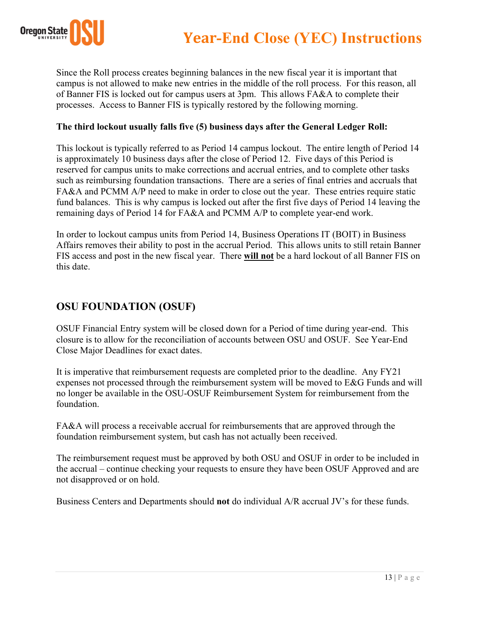

Since the Roll process creates beginning balances in the new fiscal year it is important that campus is not allowed to make new entries in the middle of the roll process. For this reason, all of Banner FIS is locked out for campus users at 3pm. This allows FA&A to complete their processes. Access to Banner FIS is typically restored by the following morning.

#### **The third lockout usually falls five (5) business days after the General Ledger Roll:**

This lockout is typically referred to as Period 14 campus lockout. The entire length of Period 14 is approximately 10 business days after the close of Period 12. Five days of this Period is reserved for campus units to make corrections and accrual entries, and to complete other tasks such as reimbursing foundation transactions. There are a series of final entries and accruals that FA&A and PCMM A/P need to make in order to close out the year. These entries require static fund balances. This is why campus is locked out after the first five days of Period 14 leaving the remaining days of Period 14 for FA&A and PCMM A/P to complete year-end work.

In order to lockout campus units from Period 14, Business Operations IT (BOIT) in Business Affairs removes their ability to post in the accrual Period. This allows units to still retain Banner FIS access and post in the new fiscal year. There **will not** be a hard lockout of all Banner FIS on this date.

## **OSU FOUNDATION (OSUF)**

OSUF Financial Entry system will be closed down for a Period of time during year-end. This closure is to allow for the reconciliation of accounts between OSU and OSUF. See Year-End Close Major Deadlines for exact dates.

It is imperative that reimbursement requests are completed prior to the deadline. Any FY21 expenses not processed through the reimbursement system will be moved to E&G Funds and will no longer be available in the OSU-OSUF Reimbursement System for reimbursement from the foundation.

FA&A will process a receivable accrual for reimbursements that are approved through the foundation reimbursement system, but cash has not actually been received.

The reimbursement request must be approved by both OSU and OSUF in order to be included in the accrual – continue checking your requests to ensure they have been OSUF Approved and are not disapproved or on hold.

Business Centers and Departments should **not** do individual A/R accrual JV's for these funds.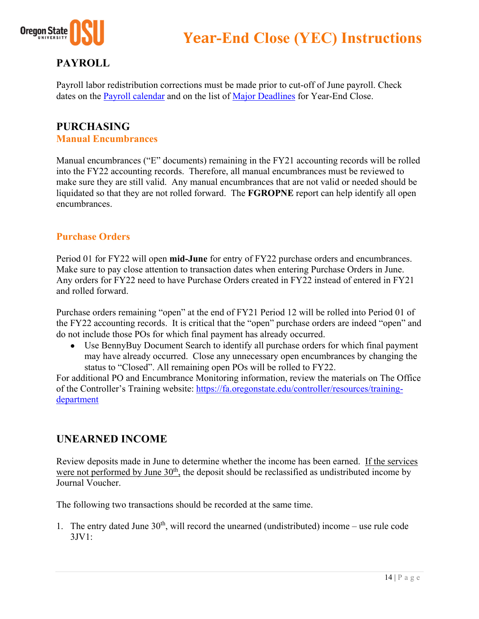

## **PAYROLL**

Payroll labor redistribution corrections must be made prior to cut-off of June payroll. Check dates on the Payroll calendar and on the list of Major Deadlines for Year-End Close.

#### **PURCHASING Manual Encumbrances**

Manual encumbrances ("E" documents) remaining in the FY21 accounting records will be rolled into the FY22 accounting records. Therefore, all manual encumbrances must be reviewed to make sure they are still valid. Any manual encumbrances that are not valid or needed should be liquidated so that they are not rolled forward. The **FGROPNE** report can help identify all open encumbrances.

#### **Purchase Orders**

Period 01 for FY22 will open **mid-June** for entry of FY22 purchase orders and encumbrances. Make sure to pay close attention to transaction dates when entering Purchase Orders in June. Any orders for FY22 need to have Purchase Orders created in FY22 instead of entered in FY21 and rolled forward.

Purchase orders remaining "open" at the end of FY21 Period 12 will be rolled into Period 01 of the FY22 accounting records. It is critical that the "open" purchase orders are indeed "open" and do not include those POs for which final payment has already occurred.

 Use BennyBuy Document Search to identify all purchase orders for which final payment may have already occurred. Close any unnecessary open encumbrances by changing the status to "Closed". All remaining open POs will be rolled to FY22.

For additional PO and Encumbrance Monitoring information, review the materials on The Office of the Controller's Training website: https://fa.oregonstate.edu/controller/resources/trainingdepartment

## **UNEARNED INCOME**

Review deposits made in June to determine whether the income has been earned. If the services were not performed by June  $30<sup>th</sup>$ , the deposit should be reclassified as undistributed income by Journal Voucher.

The following two transactions should be recorded at the same time.

1. The entry dated June  $30<sup>th</sup>$ , will record the unearned (undistributed) income – use rule code 3JV1: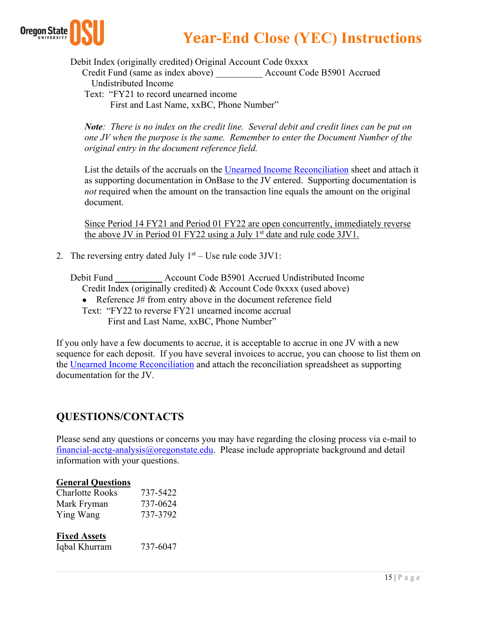

Debit Index (originally credited) Original Account Code 0xxxx

Credit Fund (same as index above) \_\_\_\_\_\_\_\_\_\_ Account Code B5901 Accrued

Undistributed Income

 Text: "FY21 to record unearned income First and Last Name, xxBC, Phone Number"

*Note: There is no index on the credit line. Several debit and credit lines can be put on one JV when the purpose is the same. Remember to enter the Document Number of the original entry in the document reference field.*

List the details of the accruals on the Unearned Income Reconciliation sheet and attach it as supporting documentation in OnBase to the JV entered. Supporting documentation is *not* required when the amount on the transaction line equals the amount on the original document.

Since Period 14 FY21 and Period 01 FY22 are open concurrently, immediately reverse the above JV in Period 01 FY22 using a July  $1<sup>st</sup>$  date and rule code 3JV1.

2. The reversing entry dated July  $1<sup>st</sup> - Use rule code 3JV1$ :

Debit Fund \_\_\_\_\_\_\_\_\_\_ Account Code B5901 Accrued Undistributed Income Credit Index (originally credited) & Account Code 0xxxx (used above)

• Reference J# from entry above in the document reference field

 Text: "FY22 to reverse FY21 unearned income accrual First and Last Name, xxBC, Phone Number"

If you only have a few documents to accrue, it is acceptable to accrue in one JV with a new sequence for each deposit. If you have several invoices to accrue, you can choose to list them on the Unearned Income Reconciliation and attach the reconciliation spreadsheet as supporting documentation for the JV.

## **QUESTIONS/CONTACTS**

Please send any questions or concerns you may have regarding the closing process via e-mail to financial-acctg-analysis@oregonstate.edu. Please include appropriate background and detail information with your questions.

#### **General Questions**

| Charlotte Rooks | 737-5422 |
|-----------------|----------|
| Mark Fryman     | 737-0624 |
| Ying Wang       | 737-3792 |

#### **Fixed Assets**

Iqbal Khurram 737-6047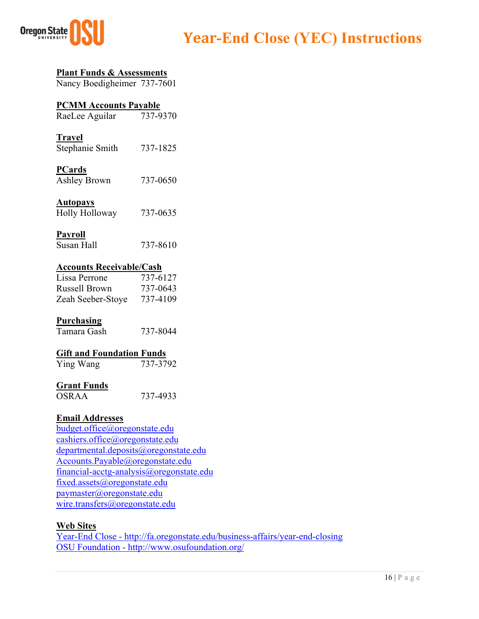

## **Plant Funds & Assessments**

Nancy Boedigheimer 737-7601

## **PCMM Accounts Payable**

RaeLee Aguilar 737-9370

#### **Travel**  Stephanie Smith 737-1825

## **PCards**

Ashley Brown 737-0650

#### **Autopays**

| Holly Holloway | 737-0635 |
|----------------|----------|
|----------------|----------|

#### **Payroll**

#### **Accounts Receivable/Cash**

| Lissa Perrone     | 737-6127 |
|-------------------|----------|
| Russell Brown     | 737-0643 |
| Zeah Seeber-Stoye | 737-4109 |

#### **Purchasing**

| Tamara Gash | 737-8044 |
|-------------|----------|
|             |          |

#### **Gift and Foundation Funds**

| Ying Wang | 737-3792 |
|-----------|----------|
|-----------|----------|

#### **Grant Funds**

OSRAA 737-4933

#### **Email Addresses**

budget.office@oregonstate.edu cashiers.office@oregonstate.edu departmental.deposits@oregonstate.edu Accounts.Payable@oregonstate.edu financial-acctg-analysis@oregonstate.edu fixed.assets@oregonstate.edu paymaster@oregonstate.edu wire.transfers@oregonstate.edu

#### **Web Sites**

Year-End Close - http://fa.oregonstate.edu/business-affairs/year-end-closing OSU Foundation - http://www.osufoundation.org/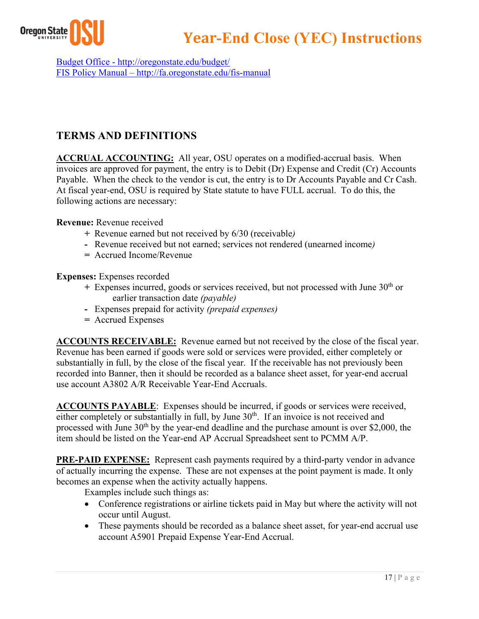

Budget Office - http://oregonstate.edu/budget/ FIS Policy Manual – http://fa.oregonstate.edu/fis-manual

## **TERMS AND DEFINITIONS**

**ACCRUAL ACCOUNTING:** All year, OSU operates on a modified-accrual basis. When invoices are approved for payment, the entry is to Debit (Dr) Expense and Credit (Cr) Accounts Payable. When the check to the vendor is cut, the entry is to Dr Accounts Payable and Cr Cash. At fiscal year-end, OSU is required by State statute to have FULL accrual. To do this, the following actions are necessary:

#### **Revenue:** Revenue received

- **+** Revenue earned but not received by 6/30 (receivable*)*
- **-** Revenue received but not earned; services not rendered (unearned income*)*
- **=** Accrued Income/Revenue

**Expenses:** Expenses recorded

- **+** Expenses incurred, goods or services received, but not processed with June 30th or earlier transaction date *(payable)*
- **-** Expenses prepaid for activity *(prepaid expenses)*
- **=** Accrued Expenses

**ACCOUNTS RECEIVABLE:** Revenue earned but not received by the close of the fiscal year. Revenue has been earned if goods were sold or services were provided, either completely or substantially in full, by the close of the fiscal year. If the receivable has not previously been recorded into Banner, then it should be recorded as a balance sheet asset, for year-end accrual use account A3802 A/R Receivable Year-End Accruals.

**ACCOUNTS PAYABLE**: Expenses should be incurred, if goods or services were received, either completely or substantially in full, by June 30<sup>th</sup>. If an invoice is not received and processed with June  $30<sup>th</sup>$  by the year-end deadline and the purchase amount is over \$2,000, the item should be listed on the Year-end AP Accrual Spreadsheet sent to PCMM A/P.

**PRE-PAID EXPENSE:** Represent cash payments required by a third-party vendor in advance of actually incurring the expense. These are not expenses at the point payment is made. It only becomes an expense when the activity actually happens.

Examples include such things as:

- Conference registrations or airline tickets paid in May but where the activity will not occur until August.
- These payments should be recorded as a balance sheet asset, for year-end accrual use account A5901 Prepaid Expense Year-End Accrual.